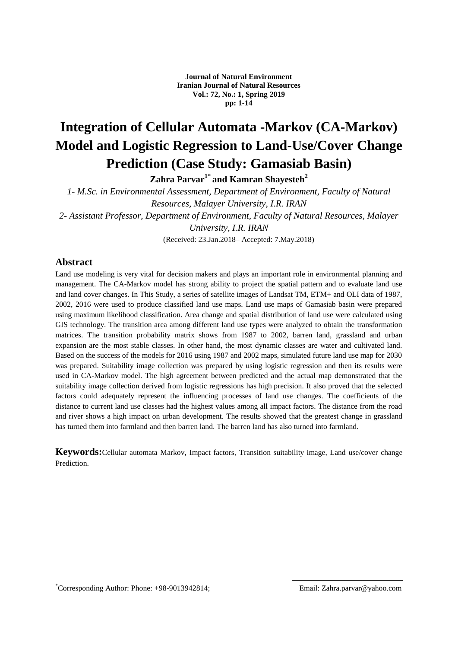# **Integration of Cellular Automata -Markov (CA-Markov) Model and Logistic Regression to Land-Use/Cover Change Prediction (Case Study: Gamasiab Basin)**

**Zahra Parvar1\* and Kamran Shayesteh<sup>2</sup>**

*1- M.Sc. in Environmental Assessment, Department of Environment, Faculty of Natural Resources, Malayer University, I.R. IRAN 2- Assistant Professor, Department of Environment, Faculty of Natural Resources, Malayer* 

*University, I.R. IRAN*

(Received: 23.Jan.2018– Accepted: 7.May.2018)

## **Abstract**

Land use modeling is very vital for decision makers and plays an important role in environmental planning and management. The CA-Markov model has strong ability to project the spatial pattern and to evaluate land use and land cover changes. In This Study, a series of satellite images of Landsat TM, ETM+ and OLI data of 1987, 2002, 2016 were used to produce classified land use maps. Land use maps of Gamasiab basin were prepared using maximum likelihood classification. Area change and spatial distribution of land use were calculated using GIS technology. The transition area among different land use types were analyzed to obtain the transformation matrices. The transition probability matrix shows from 1987 to 2002, barren land, grassland and urban expansion are the most stable classes. In other hand, the most dynamic classes are water and cultivated land. Based on the success of the models for 2016 using 1987 and 2002 maps, simulated future land use map for 2030 was prepared. Suitability image collection was prepared by using logistic regression and then its results were used in CA-Markov model. The high agreement between predicted and the actual map demonstrated that the suitability image collection derived from logistic regressions has high precision. It also proved that the selected factors could adequately represent the influencing processes of land use changes. The coefficients of the distance to current land use classes had the highest values among all impact factors. The distance from the road and river shows a high impact on urban development. The results showed that the greatest change in grassland has turned them into farmland and then barren land. The barren land has also turned into farmland.

**Keywords:**Cellular automata Markov, Impact factors, Transition suitability image, Land use/cover change **Prediction**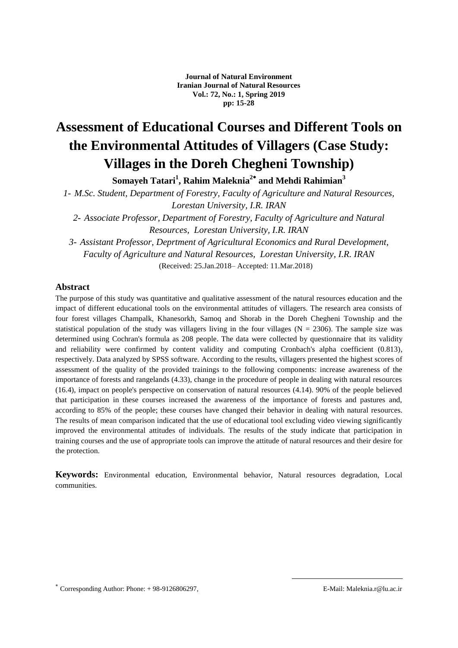# **Assessment of Educational Courses and Different Tools on the Environmental Attitudes of Villagers (Case Study: Villages in the Doreh Chegheni Township)**

**Somayeh Tatari<sup>1</sup> , Rahim Maleknia<sup>2</sup> and Mehdi Rahimian<sup>3</sup>**

*1- M.Sc. Student, Department of Forestry, Faculty of Agriculture and Natural Resources, Lorestan University, I.R. IRAN*

*2- Associate Professor, Department of Forestry, Faculty of Agriculture and Natural Resources, Lorestan University, I.R. IRAN*

*3- Assistant Professor, Deprtment of Agricultural Economics and Rural Development, Faculty of Agriculture and Natural Resources, Lorestan University, I.R. IRAN* (Received: 25.Jan.2018– Accepted: 11.Mar.2018)

### **Abstract**

The purpose of this study was quantitative and qualitative assessment of the natural resources education and the impact of different educational tools on the environmental attitudes of villagers. The research area consists of four forest villages Champalk, Khanesorkh, Samoq and Shorab in the Doreh Chegheni Township and the statistical population of the study was villagers living in the four villages ( $N = 2306$ ). The sample size was determined using Cochran's formula as 208 people. The data were collected by questionnaire that its validity and reliability were confirmed by content validity and computing Cronbach's alpha coefficient (0.813), respectively. Data analyzed by SPSS software. According to the results, villagers presented the highest scores of assessment of the quality of the provided trainings to the following components: increase awareness of the importance of forests and rangelands (4.33), change in the procedure of people in dealing with natural resources (16.4), impact on people's perspective on conservation of natural resources (4.14). 90% of the people believed that participation in these courses increased the awareness of the importance of forests and pastures and, according to 85% of the people; these courses have changed their behavior in dealing with natural resources. The results of mean comparison indicated that the use of educational tool excluding video viewing significantly improved the environmental attitudes of individuals. The results of the study indicate that participation in training courses and the use of appropriate tools can improve the attitude of natural resources and their desire for the protection.

**Keywords:** Environmental education, Environmental behavior, Natural resources degradation, Local communities.

\* Corresponding Author: Phone: +98-9126806297, E-Mail: Maleknia.r@lu.ac.ir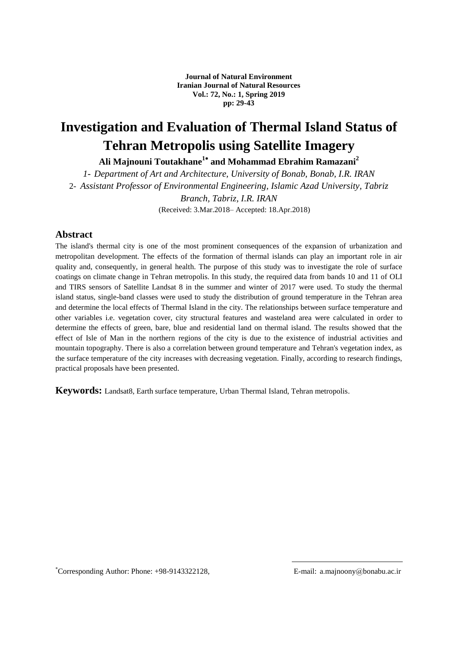**Journal of Natural Environment Iranian Journal of Natural Resources Vol.: 72, No.: 1, Spring 2019 pp: 29-43**

# **Investigation and Evaluation of Thermal Island Status of Tehran Metropolis using Satellite Imagery**

**Ali Majnouni Toutakhane<sup>1</sup> and Mohammad Ebrahim Ramazani<sup>2</sup>**

*1- Department of Art and Architecture, University of Bonab, Bonab, I.R. IRAN* 2- *Assistant Professor of Environmental Engineering, Islamic Azad University, Tabriz Branch, Tabriz, I.R. IRAN* (Received: 3.Mar.2018– Accepted: 18.Apr.2018)

### **Abstract**

The island's thermal city is one of the most prominent consequences of the expansion of urbanization and metropolitan development. The effects of the formation of thermal islands can play an important role in air quality and, consequently, in general health. The purpose of this study was to investigate the role of surface coatings on climate change in Tehran metropolis. In this study, the required data from bands 10 and 11 of OLI and TIRS sensors of Satellite Landsat 8 in the summer and winter of 2017 were used. To study the thermal island status, single-band classes were used to study the distribution of ground temperature in the Tehran area and determine the local effects of Thermal Island in the city. The relationships between surface temperature and other variables i.e. vegetation cover, city structural features and wasteland area were calculated in order to determine the effects of green, bare, blue and residential land on thermal island. The results showed that the effect of Isle of Man in the northern regions of the city is due to the existence of industrial activities and mountain topography. There is also a correlation between ground temperature and Tehran's vegetation index, as the surface temperature of the city increases with decreasing vegetation. Finally, according to research findings, practical proposals have been presented.

**Keywords:** Landsat8, Earth surface temperature, Urban Thermal Island, Tehran metropolis.

Corresponding Author: Phone: +98-9143322128, E-mail: a.majnoony@bonabu.ac.ir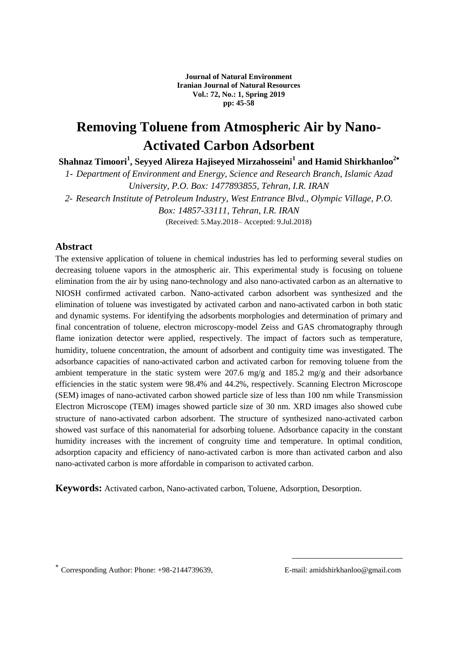**Journal of Natural Environment Iranian Journal of Natural Resources Vol.: 72, No.: 1, Spring 2019 pp: 45-58**

## **Removing Toluene from Atmospheric Air by Nano-Activated Carbon Adsorbent**

**Shahnaz Timoori<sup>1</sup> , Seyyed Alireza Hajiseyed Mirzahosseini<sup>1</sup> and Hamid Shirkhanloo<sup>2</sup>**

*1- Department of Environment and Energy, Science and Research Branch, Islamic Azad University, P.O. Box: 1477893855, Tehran, I.R. IRAN 2- Research Institute of Petroleum Industry, West Entrance Blvd., Olympic Village, P.O. Box: 14857-33111, Tehran, I.R. IRAN*

(Received: 5.May.2018– Accepted: 9.Jul.2018)

## **Abstract**

The extensive application of toluene in chemical industries has led to performing several studies on decreasing toluene vapors in the atmospheric air. This experimental study is focusing on toluene elimination from the air by using nano-technology and also nano-activated carbon as an alternative to NIOSH confirmed activated carbon. Nano-activated carbon adsorbent was synthesized and the elimination of toluene was investigated by activated carbon and nano-activated carbon in both static and dynamic systems. For identifying the adsorbents morphologies and determination of primary and final concentration of toluene, electron microscopy-model Zeiss and GAS chromatography through flame ionization detector were applied, respectively. The impact of factors such as temperature, humidity, toluene concentration, the amount of adsorbent and contiguity time was investigated. The adsorbance capacities of nano-activated carbon and activated carbon for removing toluene from the ambient temperature in the static system were 207.6 mg/g and 185.2 mg/g and their adsorbance efficiencies in the static system were 98.4% and 44.2%, respectively. Scanning Electron Microscope (SEM) images of nano-activated carbon showed particle size of less than 100 nm while Transmission Electron Microscope (TEM) images showed particle size of 30 nm. XRD images also showed cube structure of nano-activated carbon adsorbent. The structure of synthesized nano-activated carbon showed vast surface of this nanomaterial for adsorbing toluene. Adsorbance capacity in the constant humidity increases with the increment of congruity time and temperature. In optimal condition, adsorption capacity and efficiency of nano-activated carbon is more than activated carbon and also nano-activated carbon is more affordable in comparison to activated carbon.

**Keywords:** Activated carbon, Nano-activated carbon, Toluene, Adsorption, Desorption.

Corresponding Author: Phone: +98-2144739639, E-mail: amidshirkhanloo@gmail.com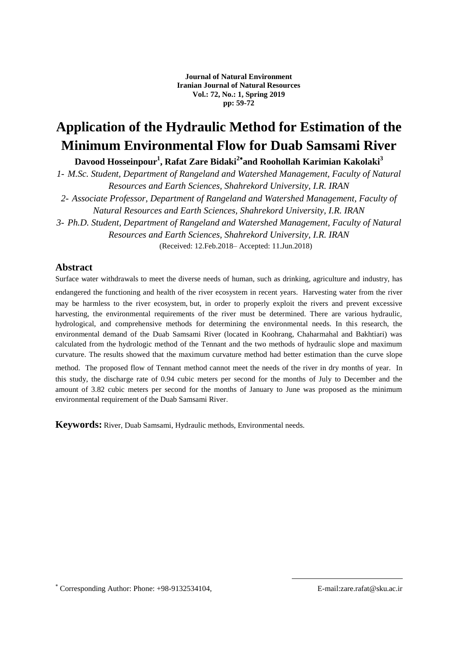## **Application of the Hydraulic Method for Estimation of the Minimum Environmental Flow for Duab Samsami River**

**Davood Hosseinpour<sup>1</sup> , Rafat Zare Bidaki<sup>2</sup> and Roohollah Karimian Kakolaki<sup>3</sup>**

*1- M.Sc. Student, Department of Rangeland and Watershed Management, Faculty of Natural Resources and Earth Sciences, Shahrekord University, I.R. IRAN*

*2- Associate Professor, Department of Rangeland and Watershed Management, Faculty of Natural Resources and Earth Sciences, Shahrekord University, I.R. IRAN*

*3- Ph.D. Student, Department of Rangeland and Watershed Management, Faculty of Natural Resources and Earth Sciences, Shahrekord University, I.R. IRAN*

(Received: 12.Feb.2018– Accepted: 11.Jun.2018)

## **Abstract**

Surface water withdrawals to meet the diverse needs of human, such as drinking, agriculture and industry, has endangered the functioning and health of the river ecosystem in recent years. Harvesting water from the river may be harmless to the river ecosystem, but, in order to properly exploit the rivers and prevent excessive harvesting, the environmental requirements of the river must be determined. There are various hydraulic, hydrological, and comprehensive methods for determining the environmental needs. In this research, the environmental demand of the Duab Samsami River (located in Koohrang, Chaharmahal and Bakhtiari) was calculated from the hydrologic method of the Tennant and the two methods of hydraulic slope and maximum curvature. The results showed that the maximum curvature method had better estimation than the curve slope

method. The proposed flow of Tennant method cannot meet the needs of the river in dry months of year. In this study, the discharge rate of 0.94 cubic meters per second for the months of July to December and the amount of 3.82 cubic meters per second for the months of January to June was proposed as the minimum environmental requirement of the Duab Samsami River.

**Keywords:** River, Duab Samsami, Hydraulic methods, Environmental needs.

Corresponding Author: Phone: +98-9132534104, E-mail:zare.rafat@sku.ac.ir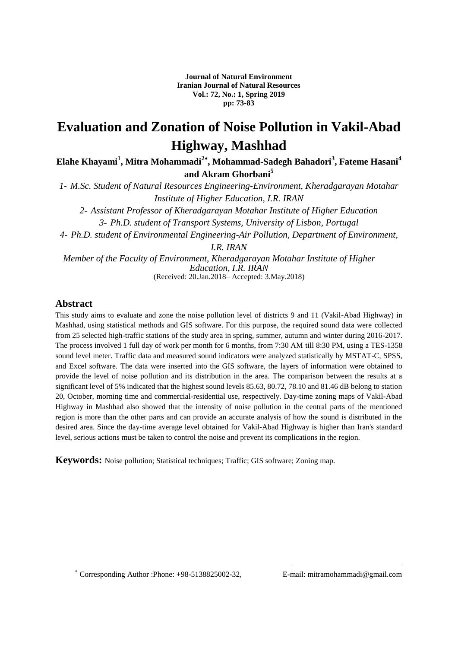**Journal of Natural Environment Iranian Journal of Natural Resources Vol.: 72, No.: 1, Spring 2019 pp: 73-83**

## **Evaluation and Zonation of Noise Pollution in Vakil-Abad Highway, Mashhad**

**Elahe Khayami<sup>1</sup> , Mitra Mohammadi<sup>2</sup> , Mohammad-Sadegh Bahadori<sup>3</sup> , Fateme Hasani<sup>4</sup> and Akram Ghorbani<sup>5</sup>**

*1- M.Sc. Student of Natural Resources Engineering-Environment, Kheradgarayan Motahar Institute of Higher Education, I.R. IRAN 2- Assistant Professor of Kheradgarayan Motahar Institute of Higher Education 3- Ph.D. student of Transport Systems, University of Lisbon, Portugal 4- Ph.D. student of Environmental Engineering-Air Pollution, Department of Environment, I.R. IRAN Member of the Faculty of Environment, Kheradgarayan Motahar Institute of Higher Education, I.R. IRAN* (Received: 20.Jan.2018– Accepted: 3.May.2018)

### **Abstract**

This study aims to evaluate and zone the noise pollution level of districts 9 and 11 (Vakil-Abad Highway) in Mashhad, using statistical methods and GIS software. For this purpose, the required sound data were collected from 25 selected high-traffic stations of the study area in spring, summer, autumn and winter during 2016-2017. The process involved 1 full day of work per month for 6 months, from 7:30 AM till 8:30 PM, using a TES-1358 sound level meter. Traffic data and measured sound indicators were analyzed statistically by MSTAT-C, SPSS, and Excel software. The data were inserted into the GIS software, the layers of information were obtained to provide the level of noise pollution and its distribution in the area. The comparison between the results at a significant level of 5% indicated that the highest sound levels 85.63, 80.72, 78.10 and 81.46 dB belong to station 20, October, morning time and commercial-residential use, respectively. Day-time zoning maps of Vakil-Abad Highway in Mashhad also showed that the intensity of noise pollution in the central parts of the mentioned region is more than the other parts and can provide an accurate analysis of how the sound is distributed in the desired area. Since the day-time average level obtained for Vakil-Abad Highway is higher than Iran's standard level, serious actions must be taken to control the noise and prevent its complications in the region.

**Keywords:** Noise pollution; Statistical techniques; Traffic; GIS software; Zoning map.

Corresponding Author :Phone: +98-5138825002-32, E-mail: mitramohammadi@gmail.com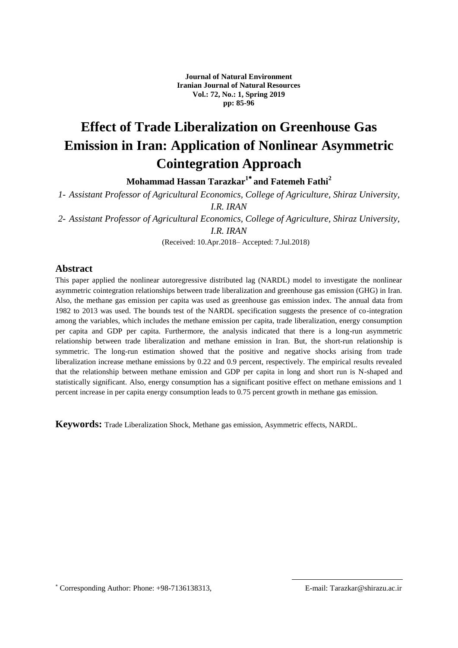**Journal of Natural Environment Iranian Journal of Natural Resources Vol.: 72, No.: 1, Spring 2019 pp: 85-96**

# **Effect of Trade Liberalization on Greenhouse Gas Emission in Iran: Application of Nonlinear Asymmetric Cointegration Approach**

**Mohammad Hassan Tarazkar<sup>1</sup> and Fatemeh Fathi<sup>2</sup>**

*1- Assistant Professor of Agricultural Economics, College of Agriculture, Shiraz University, I.R. IRAN*

*2- Assistant Professor of Agricultural Economics, College of Agriculture, Shiraz University, I.R. IRAN*

(Received: 10.Apr.2018– Accepted: 7.Jul.2018)

#### **Abstract**

This paper applied the nonlinear autoregressive distributed lag (NARDL) model to investigate the nonlinear asymmetric cointegration relationships between trade liberalization and greenhouse gas emission (GHG) in Iran. Also, the methane gas emission per capita was used as greenhouse gas emission index. The annual data from 1982 to 2013 was used. The bounds test of the NARDL specification suggests the presence of co-integration among the variables, which includes the methane emission per capita, trade liberalization, energy consumption per capita and GDP per capita. Furthermore, the analysis indicated that there is a long-run asymmetric relationship between trade liberalization and methane emission in Iran. But, the short-run relationship is symmetric. The long-run estimation showed that the positive and negative shocks arising from trade liberalization increase methane emissions by 0.22 and 0.9 percent, respectively. The empirical results revealed that the relationship between methane emission and GDP per capita in long and short run is N-shaped and statistically significant. Also, energy consumption has a significant positive effect on methane emissions and 1 percent increase in per capita energy consumption leads to 0.75 percent growth in methane gas emission.

**Keywords:** Trade Liberalization Shock, Methane gas emission, Asymmetric effects, NARDL.

Corresponding Author: Phone: +98-7136138313, E-mail: Tarazkar@shirazu.ac.ir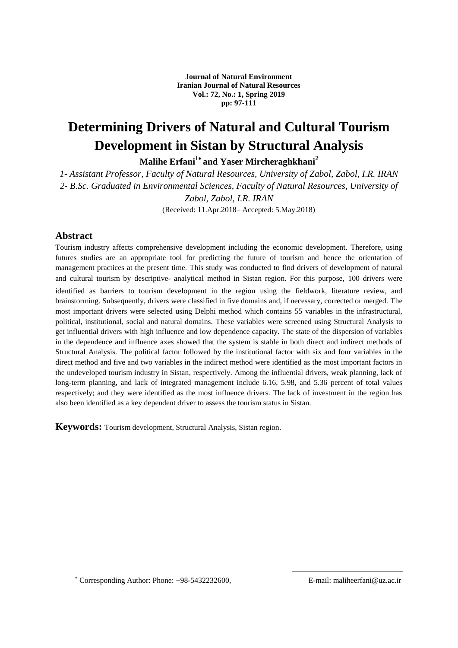**Journal of Natural Environment Iranian Journal of Natural Resources Vol.: 72, No.: 1, Spring 2019 pp: 97-111**

# **Determining Drivers of Natural and Cultural Tourism Development in Sistan by Structural Analysis**

**Malihe Erfani<sup>1</sup> and Yaser Mircheraghkhani<sup>2</sup>**

*1- Assistant Professor, Faculty of Natural Resources, University of Zabol, Zabol, I.R. IRAN 2- B.Sc. Graduated in Environmental Sciences, Faculty of Natural Resources, University of Zabol, Zabol, I.R. IRAN* (Received: 11.Apr.2018– Accepted: 5.May.2018)

## **Abstract**

Tourism industry affects comprehensive development including the economic development. Therefore, using futures studies are an appropriate tool for predicting the future of tourism and hence the orientation of management practices at the present time. This study was conducted to find drivers of development of natural and cultural tourism by descriptive- analytical method in Sistan region. For this purpose, 100 drivers were identified as barriers to tourism development in the region using the fieldwork, literature review, and brainstorming. Subsequently, drivers were classified in five domains and, if necessary, corrected or merged. The most important drivers were selected using Delphi method which contains 55 variables in the infrastructural, political, institutional, social and natural domains. These variables were screened using Structural Analysis to get influential drivers with high influence and low dependence capacity. The state of the dispersion of variables in the dependence and influence axes showed that the system is stable in both direct and indirect methods of Structural Analysis. The political factor followed by the institutional factor with six and four variables in the direct method and five and two variables in the indirect method were identified as the most important factors in the undeveloped tourism industry in Sistan, respectively. Among the influential drivers, weak planning, lack of long-term planning, and lack of integrated management include 6.16, 5.98, and 5.36 percent of total values respectively; and they were identified as the most influence drivers. The lack of investment in the region has also been identified as a key dependent driver to assess the tourism status in Sistan.

**Keywords:** Tourism development, Structural Analysis, Sistan region.

Corresponding Author: Phone: +98-5432232600, E-mail: maliheerfani@uz.ac.ir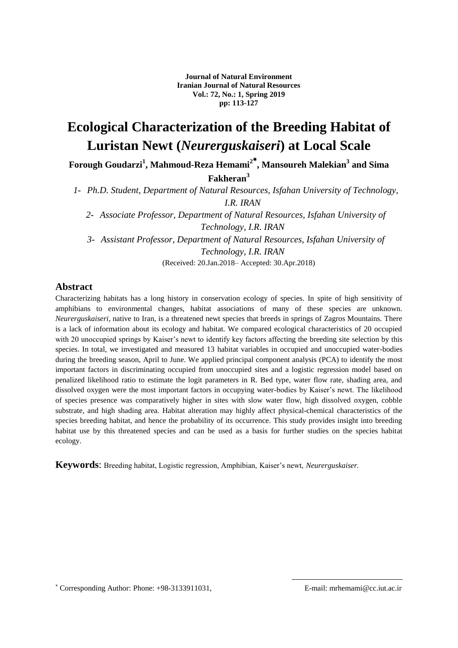**Journal of Natural Environment Iranian Journal of Natural Resources Vol.: 72, No.: 1, Spring 2019 pp: 113-127**

## **Ecological Characterization of the Breeding Habitat of Luristan Newt (***Neurerguskaiseri***) at Local Scale**

**Forough Goudarzi<sup>1</sup> , Mahmoud-Reza Hemami<sup>2</sup> , Mansoureh Malekian<sup>3</sup> and Sima Fakheran<sup>3</sup>**

*1- Ph.D. Student, Department of Natural Resources, Isfahan University of Technology, I.R. IRAN*

*2- Associate Professor, Department of Natural Resources, Isfahan University of Technology, I.R. IRAN*

*3- Assistant Professor, Department of Natural Resources, Isfahan University of Technology, I.R. IRAN*

(Received: 20.Jan.2018– Accepted: 30.Apr.2018)

## **Abstract**

Characterizing habitats has a long history in conservation ecology of species. In spite of high sensitivity of amphibians to environmental changes, habitat associations of many of these species are unknown. *Neurerguskaiseri*, native to Iran, is a threatened newt species that breeds in springs of Zagros Mountains. There is a lack of information about its ecology and habitat. We compared ecological characteristics of 20 occupied with 20 unoccupied springs by Kaiser's newt to identify key factors affecting the breeding site selection by this species. In total, we investigated and measured 13 habitat variables in occupied and unoccupied water-bodies during the breeding season, April to June. We applied principal component analysis (PCA) to identify the most important factors in discriminating occupied from unoccupied sites and a logistic regression model based on penalized likelihood ratio to estimate the logit parameters in R. Bed type, water flow rate, shading area, and dissolved oxygen were the most important factors in occupying water-bodies by Kaiser's newt. The likelihood of species presence was comparatively higher in sites with slow water flow, high dissolved oxygen, cobble substrate, and high shading area. Habitat alteration may highly affect physical-chemical characteristics of the species breeding habitat, and hence the probability of its occurrence. This study provides insight into breeding habitat use by this threatened species and can be used as a basis for further studies on the species habitat ecology.

**Keywords:** Breeding habitat, Logistic regression, Amphibian, Kaiser's newt, *Neurerguskaiser*.

Corresponding Author: Phone: +98-3133911031, E-mail: mrhemami@cc.iut.ac.ir